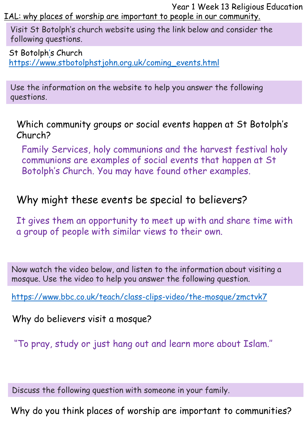Year 1 Week 13 Religious Education IAL: why places of worship are important to people in our community.

Visit St Botolph's church website using the link below and consider the following questions.

St Botolph['](https://www.stbotolphstjohn.org.uk/coming_events.html)s Church [https://www.stbotolphstjohn.org.uk/coming\\_events.html](https://www.stbotolphstjohn.org.uk/coming_events.html)

Use the information on the website to help you answer the following questions.

Which community groups or social events happen at St Botolph's Church?

Family Services, holy communions and the harvest festival holy communions are examples of social events that happen at St Botolph's Church. You may have found other examples.

## Why might these events be special to believers?

It gives them an opportunity to meet up with and share time with a group of people with similar views to their own.

Now watch the video below, and listen to the information about visiting a mosque. Use the video to help you answer the following question.

<https://www.bbc.co.uk/teach/class-clips-video/the-mosque/zmctvk7>

Why do believers visit a mosque?

''To pray, study or just hang out and learn more about Islam.''

Discuss the following question with someone in your family.

Why do you think places of worship are important to communities?